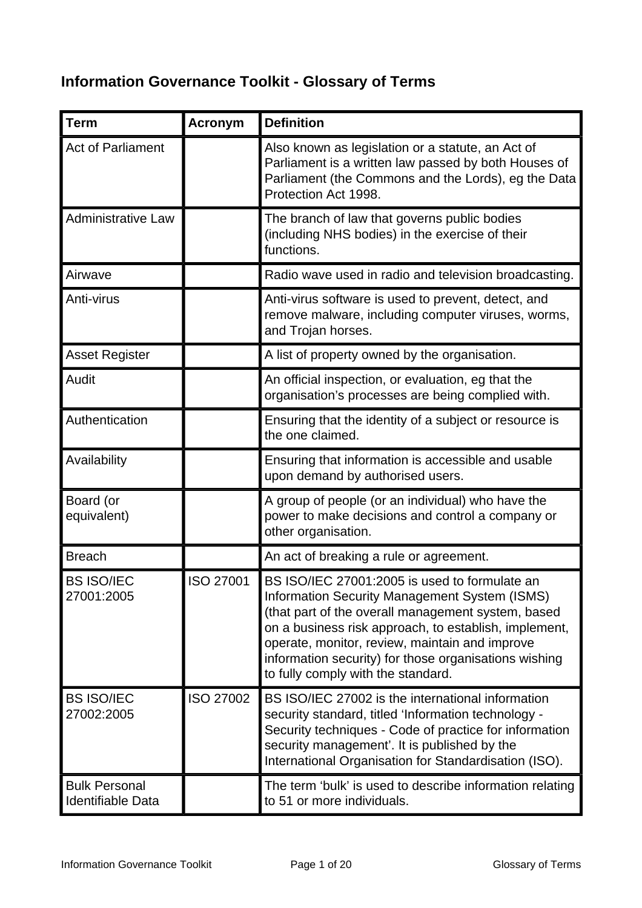## **Information Governance Toolkit - Glossary of Terms**

| <b>Term</b>                                      | <b>Acronym</b>   | <b>Definition</b>                                                                                                                                                                                                                                                                                                                                              |
|--------------------------------------------------|------------------|----------------------------------------------------------------------------------------------------------------------------------------------------------------------------------------------------------------------------------------------------------------------------------------------------------------------------------------------------------------|
| <b>Act of Parliament</b>                         |                  | Also known as legislation or a statute, an Act of<br>Parliament is a written law passed by both Houses of<br>Parliament (the Commons and the Lords), eg the Data<br>Protection Act 1998.                                                                                                                                                                       |
| <b>Administrative Law</b>                        |                  | The branch of law that governs public bodies<br>(including NHS bodies) in the exercise of their<br>functions.                                                                                                                                                                                                                                                  |
| Airwave                                          |                  | Radio wave used in radio and television broadcasting.                                                                                                                                                                                                                                                                                                          |
| Anti-virus                                       |                  | Anti-virus software is used to prevent, detect, and<br>remove malware, including computer viruses, worms,<br>and Trojan horses.                                                                                                                                                                                                                                |
| <b>Asset Register</b>                            |                  | A list of property owned by the organisation.                                                                                                                                                                                                                                                                                                                  |
| Audit                                            |                  | An official inspection, or evaluation, eg that the<br>organisation's processes are being complied with.                                                                                                                                                                                                                                                        |
| Authentication                                   |                  | Ensuring that the identity of a subject or resource is<br>the one claimed.                                                                                                                                                                                                                                                                                     |
| Availability                                     |                  | Ensuring that information is accessible and usable<br>upon demand by authorised users.                                                                                                                                                                                                                                                                         |
| Board (or<br>equivalent)                         |                  | A group of people (or an individual) who have the<br>power to make decisions and control a company or<br>other organisation.                                                                                                                                                                                                                                   |
| <b>Breach</b>                                    |                  | An act of breaking a rule or agreement.                                                                                                                                                                                                                                                                                                                        |
| <b>BS ISO/IEC</b><br>27001:2005                  | ISO 27001        | BS ISO/IEC 27001:2005 is used to formulate an<br>Information Security Management System (ISMS)<br>(that part of the overall management system, based<br>on a business risk approach, to establish, implement,<br>operate, monitor, review, maintain and improve<br>information security) for those organisations wishing<br>to fully comply with the standard. |
| <b>BS ISO/IEC</b><br>27002:2005                  | <b>ISO 27002</b> | BS ISO/IEC 27002 is the international information<br>security standard, titled 'Information technology -<br>Security techniques - Code of practice for information<br>security management'. It is published by the<br>International Organisation for Standardisation (ISO).                                                                                    |
| <b>Bulk Personal</b><br><b>Identifiable Data</b> |                  | The term 'bulk' is used to describe information relating<br>to 51 or more individuals.                                                                                                                                                                                                                                                                         |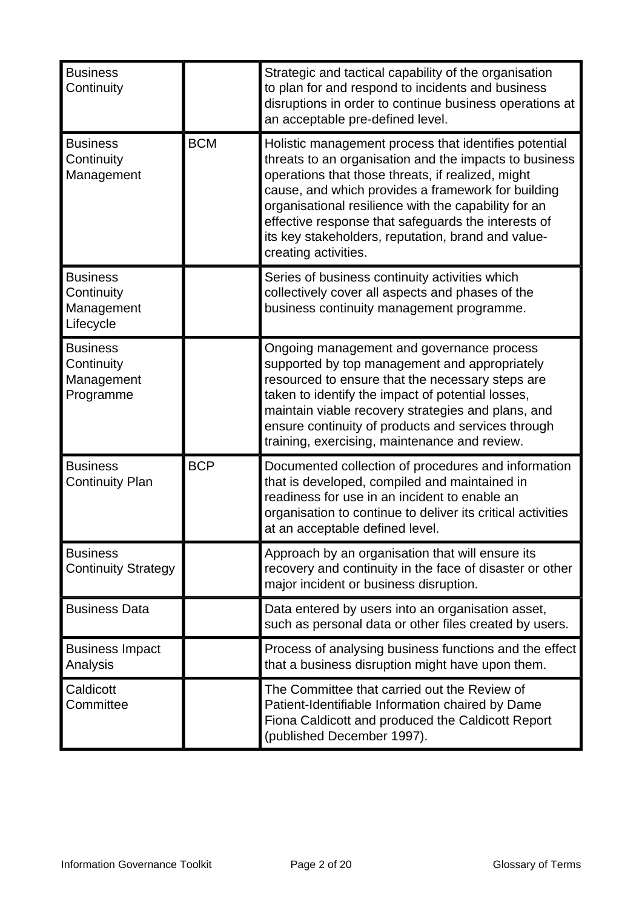| <b>Business</b><br>Continuity                            |            | Strategic and tactical capability of the organisation<br>to plan for and respond to incidents and business<br>disruptions in order to continue business operations at<br>an acceptable pre-defined level.                                                                                                                                                                                                               |
|----------------------------------------------------------|------------|-------------------------------------------------------------------------------------------------------------------------------------------------------------------------------------------------------------------------------------------------------------------------------------------------------------------------------------------------------------------------------------------------------------------------|
| <b>Business</b><br>Continuity<br>Management              | <b>BCM</b> | Holistic management process that identifies potential<br>threats to an organisation and the impacts to business<br>operations that those threats, if realized, might<br>cause, and which provides a framework for building<br>organisational resilience with the capability for an<br>effective response that safeguards the interests of<br>its key stakeholders, reputation, brand and value-<br>creating activities. |
| <b>Business</b><br>Continuity<br>Management<br>Lifecycle |            | Series of business continuity activities which<br>collectively cover all aspects and phases of the<br>business continuity management programme.                                                                                                                                                                                                                                                                         |
| <b>Business</b><br>Continuity<br>Management<br>Programme |            | Ongoing management and governance process<br>supported by top management and appropriately<br>resourced to ensure that the necessary steps are<br>taken to identify the impact of potential losses,<br>maintain viable recovery strategies and plans, and<br>ensure continuity of products and services through<br>training, exercising, maintenance and review.                                                        |
| <b>Business</b><br><b>Continuity Plan</b>                | <b>BCP</b> | Documented collection of procedures and information<br>that is developed, compiled and maintained in<br>readiness for use in an incident to enable an<br>organisation to continue to deliver its critical activities<br>at an acceptable defined level.                                                                                                                                                                 |
| <b>Business</b><br><b>Continuity Strategy</b>            |            | Approach by an organisation that will ensure its<br>recovery and continuity in the face of disaster or other<br>major incident or business disruption.                                                                                                                                                                                                                                                                  |
| <b>Business Data</b>                                     |            | Data entered by users into an organisation asset,<br>such as personal data or other files created by users.                                                                                                                                                                                                                                                                                                             |
| <b>Business Impact</b><br>Analysis                       |            | Process of analysing business functions and the effect<br>that a business disruption might have upon them.                                                                                                                                                                                                                                                                                                              |
| Caldicott<br>Committee                                   |            | The Committee that carried out the Review of<br>Patient-Identifiable Information chaired by Dame<br>Fiona Caldicott and produced the Caldicott Report<br>(published December 1997).                                                                                                                                                                                                                                     |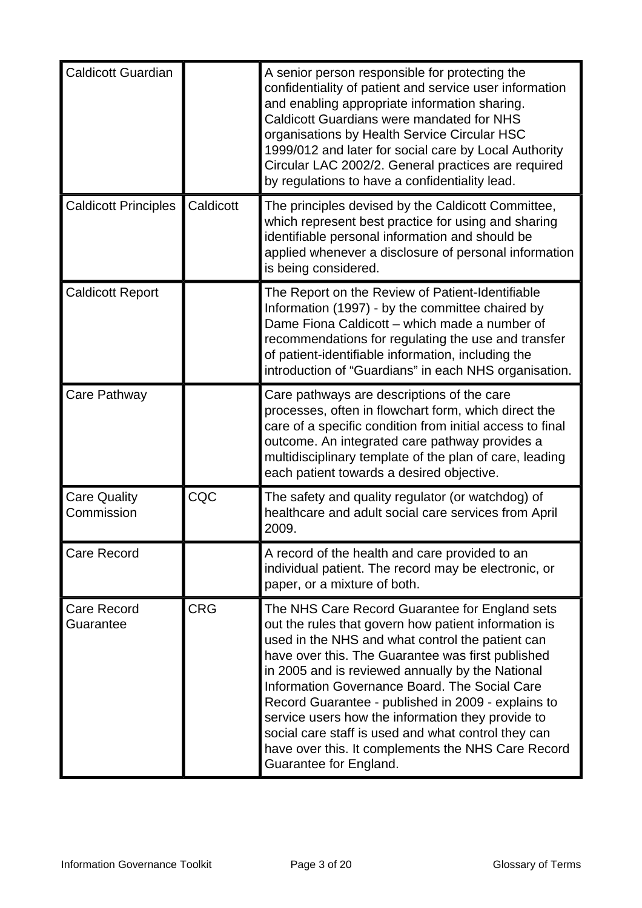| <b>Caldicott Guardian</b>         |            | A senior person responsible for protecting the<br>confidentiality of patient and service user information<br>and enabling appropriate information sharing.<br><b>Caldicott Guardians were mandated for NHS</b><br>organisations by Health Service Circular HSC<br>1999/012 and later for social care by Local Authority<br>Circular LAC 2002/2. General practices are required<br>by regulations to have a confidentiality lead.                                                                                                                                       |
|-----------------------------------|------------|------------------------------------------------------------------------------------------------------------------------------------------------------------------------------------------------------------------------------------------------------------------------------------------------------------------------------------------------------------------------------------------------------------------------------------------------------------------------------------------------------------------------------------------------------------------------|
| <b>Caldicott Principles</b>       | Caldicott  | The principles devised by the Caldicott Committee,<br>which represent best practice for using and sharing<br>identifiable personal information and should be<br>applied whenever a disclosure of personal information<br>is being considered.                                                                                                                                                                                                                                                                                                                          |
| <b>Caldicott Report</b>           |            | The Report on the Review of Patient-Identifiable<br>Information (1997) - by the committee chaired by<br>Dame Fiona Caldicott - which made a number of<br>recommendations for regulating the use and transfer<br>of patient-identifiable information, including the<br>introduction of "Guardians" in each NHS organisation.                                                                                                                                                                                                                                            |
| Care Pathway                      |            | Care pathways are descriptions of the care<br>processes, often in flowchart form, which direct the<br>care of a specific condition from initial access to final<br>outcome. An integrated care pathway provides a<br>multidisciplinary template of the plan of care, leading<br>each patient towards a desired objective.                                                                                                                                                                                                                                              |
| <b>Care Quality</b><br>Commission | CQC        | The safety and quality regulator (or watchdog) of<br>healthcare and adult social care services from April<br>2009.                                                                                                                                                                                                                                                                                                                                                                                                                                                     |
| <b>Care Record</b>                |            | A record of the health and care provided to an<br>individual patient. The record may be electronic, or<br>paper, or a mixture of both.                                                                                                                                                                                                                                                                                                                                                                                                                                 |
| <b>Care Record</b><br>Guarantee   | <b>CRG</b> | The NHS Care Record Guarantee for England sets<br>out the rules that govern how patient information is<br>used in the NHS and what control the patient can<br>have over this. The Guarantee was first published<br>in 2005 and is reviewed annually by the National<br>Information Governance Board. The Social Care<br>Record Guarantee - published in 2009 - explains to<br>service users how the information they provide to<br>social care staff is used and what control they can<br>have over this. It complements the NHS Care Record<br>Guarantee for England. |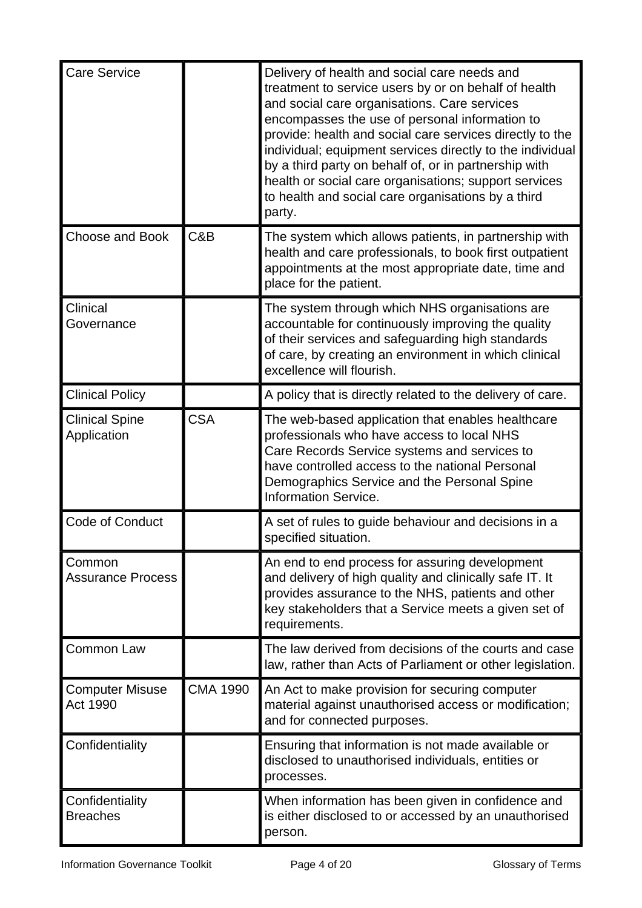| <b>Care Service</b>                  |                 | Delivery of health and social care needs and<br>treatment to service users by or on behalf of health<br>and social care organisations. Care services<br>encompasses the use of personal information to<br>provide: health and social care services directly to the<br>individual; equipment services directly to the individual<br>by a third party on behalf of, or in partnership with<br>health or social care organisations; support services<br>to health and social care organisations by a third<br>party. |
|--------------------------------------|-----------------|-------------------------------------------------------------------------------------------------------------------------------------------------------------------------------------------------------------------------------------------------------------------------------------------------------------------------------------------------------------------------------------------------------------------------------------------------------------------------------------------------------------------|
| <b>Choose and Book</b>               | C&B             | The system which allows patients, in partnership with<br>health and care professionals, to book first outpatient<br>appointments at the most appropriate date, time and<br>place for the patient.                                                                                                                                                                                                                                                                                                                 |
| Clinical<br>Governance               |                 | The system through which NHS organisations are<br>accountable for continuously improving the quality<br>of their services and safeguarding high standards<br>of care, by creating an environment in which clinical<br>excellence will flourish.                                                                                                                                                                                                                                                                   |
| <b>Clinical Policy</b>               |                 | A policy that is directly related to the delivery of care.                                                                                                                                                                                                                                                                                                                                                                                                                                                        |
| <b>Clinical Spine</b><br>Application | <b>CSA</b>      | The web-based application that enables healthcare<br>professionals who have access to local NHS<br>Care Records Service systems and services to<br>have controlled access to the national Personal<br>Demographics Service and the Personal Spine<br><b>Information Service.</b>                                                                                                                                                                                                                                  |
| Code of Conduct                      |                 | A set of rules to guide behaviour and decisions in a<br>specified situation.                                                                                                                                                                                                                                                                                                                                                                                                                                      |
| Common<br><b>Assurance Process</b>   |                 | An end to end process for assuring development<br>and delivery of high quality and clinically safe IT. It<br>provides assurance to the NHS, patients and other<br>key stakeholders that a Service meets a given set of<br>requirements.                                                                                                                                                                                                                                                                           |
| <b>Common Law</b>                    |                 | The law derived from decisions of the courts and case<br>law, rather than Acts of Parliament or other legislation.                                                                                                                                                                                                                                                                                                                                                                                                |
| <b>Computer Misuse</b><br>Act 1990   | <b>CMA 1990</b> | An Act to make provision for securing computer<br>material against unauthorised access or modification;<br>and for connected purposes.                                                                                                                                                                                                                                                                                                                                                                            |
| Confidentiality                      |                 | Ensuring that information is not made available or<br>disclosed to unauthorised individuals, entities or<br>processes.                                                                                                                                                                                                                                                                                                                                                                                            |
| Confidentiality<br><b>Breaches</b>   |                 | When information has been given in confidence and<br>is either disclosed to or accessed by an unauthorised<br>person.                                                                                                                                                                                                                                                                                                                                                                                             |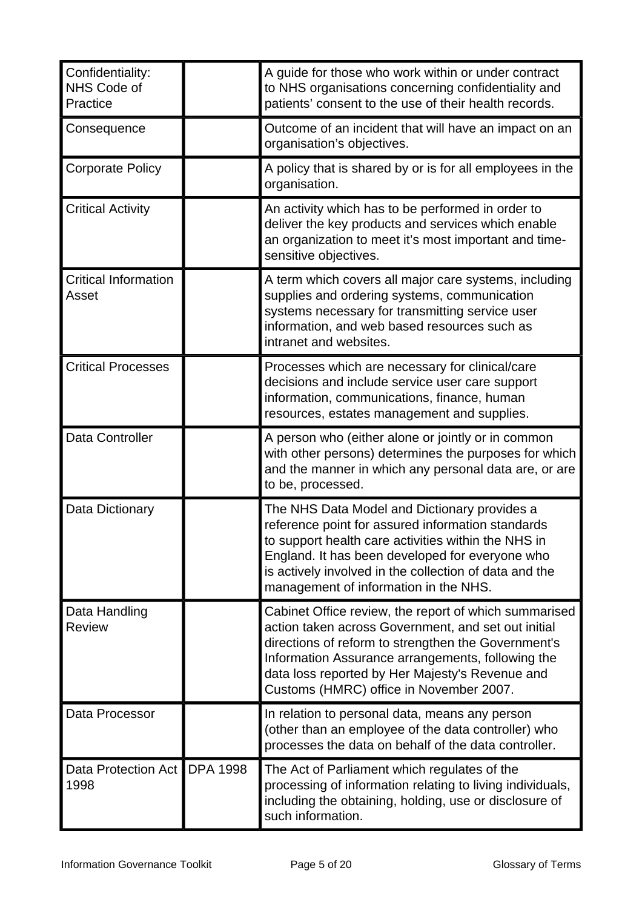| Confidentiality:<br>NHS Code of<br>Practice | A guide for those who work within or under contract<br>to NHS organisations concerning confidentiality and<br>patients' consent to the use of their health records.                                                                                                                                                    |
|---------------------------------------------|------------------------------------------------------------------------------------------------------------------------------------------------------------------------------------------------------------------------------------------------------------------------------------------------------------------------|
| Consequence                                 | Outcome of an incident that will have an impact on an<br>organisation's objectives.                                                                                                                                                                                                                                    |
| <b>Corporate Policy</b>                     | A policy that is shared by or is for all employees in the<br>organisation.                                                                                                                                                                                                                                             |
| <b>Critical Activity</b>                    | An activity which has to be performed in order to<br>deliver the key products and services which enable<br>an organization to meet it's most important and time-<br>sensitive objectives.                                                                                                                              |
| <b>Critical Information</b><br>Asset        | A term which covers all major care systems, including<br>supplies and ordering systems, communication<br>systems necessary for transmitting service user<br>information, and web based resources such as<br>intranet and websites.                                                                                     |
| <b>Critical Processes</b>                   | Processes which are necessary for clinical/care<br>decisions and include service user care support<br>information, communications, finance, human<br>resources, estates management and supplies.                                                                                                                       |
| Data Controller                             | A person who (either alone or jointly or in common<br>with other persons) determines the purposes for which<br>and the manner in which any personal data are, or are<br>to be, processed.                                                                                                                              |
| Data Dictionary                             | The NHS Data Model and Dictionary provides a<br>reference point for assured information standards<br>to support health care activities within the NHS in<br>England. It has been developed for everyone who<br>is actively involved in the collection of data and the<br>management of information in the NHS.         |
| Data Handling<br><b>Review</b>              | Cabinet Office review, the report of which summarised<br>action taken across Government, and set out initial<br>directions of reform to strengthen the Government's<br>Information Assurance arrangements, following the<br>data loss reported by Her Majesty's Revenue and<br>Customs (HMRC) office in November 2007. |
| Data Processor                              | In relation to personal data, means any person<br>(other than an employee of the data controller) who<br>processes the data on behalf of the data controller.                                                                                                                                                          |
| Data Protection Act   DPA 1998<br>1998      | The Act of Parliament which regulates of the<br>processing of information relating to living individuals,<br>including the obtaining, holding, use or disclosure of<br>such information.                                                                                                                               |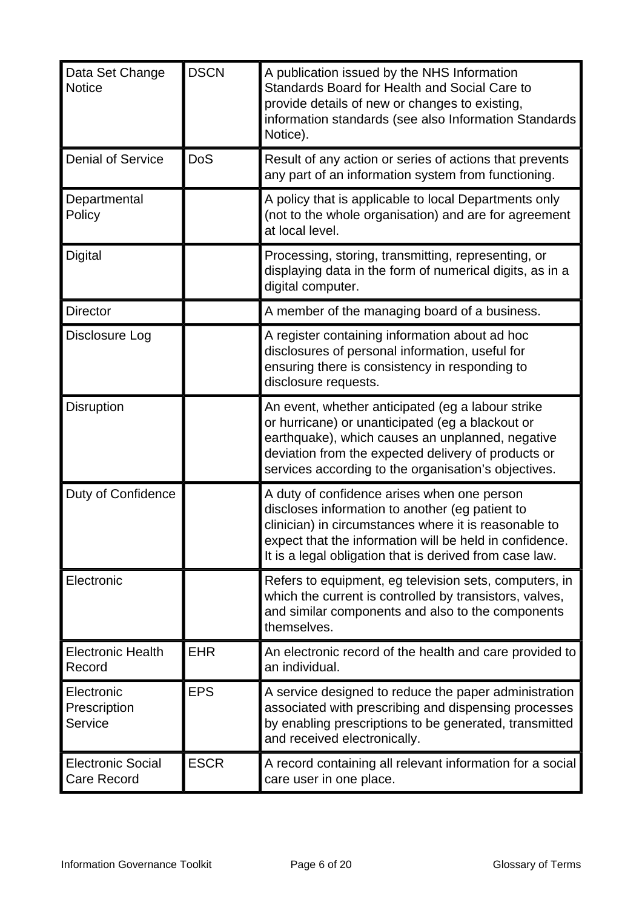| Data Set Change<br><b>Notice</b>               | <b>DSCN</b> | A publication issued by the NHS Information<br>Standards Board for Health and Social Care to<br>provide details of new or changes to existing,<br>information standards (see also Information Standards<br>Notice).                                                           |
|------------------------------------------------|-------------|-------------------------------------------------------------------------------------------------------------------------------------------------------------------------------------------------------------------------------------------------------------------------------|
| <b>Denial of Service</b>                       | <b>DoS</b>  | Result of any action or series of actions that prevents<br>any part of an information system from functioning.                                                                                                                                                                |
| Departmental<br>Policy                         |             | A policy that is applicable to local Departments only<br>(not to the whole organisation) and are for agreement<br>at local level.                                                                                                                                             |
| <b>Digital</b>                                 |             | Processing, storing, transmitting, representing, or<br>displaying data in the form of numerical digits, as in a<br>digital computer.                                                                                                                                          |
| <b>Director</b>                                |             | A member of the managing board of a business.                                                                                                                                                                                                                                 |
| Disclosure Log                                 |             | A register containing information about ad hoc<br>disclosures of personal information, useful for<br>ensuring there is consistency in responding to<br>disclosure requests.                                                                                                   |
| Disruption                                     |             | An event, whether anticipated (eg a labour strike<br>or hurricane) or unanticipated (eg a blackout or<br>earthquake), which causes an unplanned, negative<br>deviation from the expected delivery of products or<br>services according to the organisation's objectives.      |
| <b>Duty of Confidence</b>                      |             | A duty of confidence arises when one person<br>discloses information to another (eg patient to<br>clinician) in circumstances where it is reasonable to<br>expect that the information will be held in confidence.<br>It is a legal obligation that is derived from case law. |
| Electronic                                     |             | Refers to equipment, eg television sets, computers, in<br>which the current is controlled by transistors, valves,<br>and similar components and also to the components<br>themselves.                                                                                         |
| <b>Electronic Health</b><br>Record             | <b>EHR</b>  | An electronic record of the health and care provided to<br>an individual.                                                                                                                                                                                                     |
| Electronic<br>Prescription<br>Service          | <b>EPS</b>  | A service designed to reduce the paper administration<br>associated with prescribing and dispensing processes<br>by enabling prescriptions to be generated, transmitted<br>and received electronically.                                                                       |
| <b>Electronic Social</b><br><b>Care Record</b> | <b>ESCR</b> | A record containing all relevant information for a social<br>care user in one place.                                                                                                                                                                                          |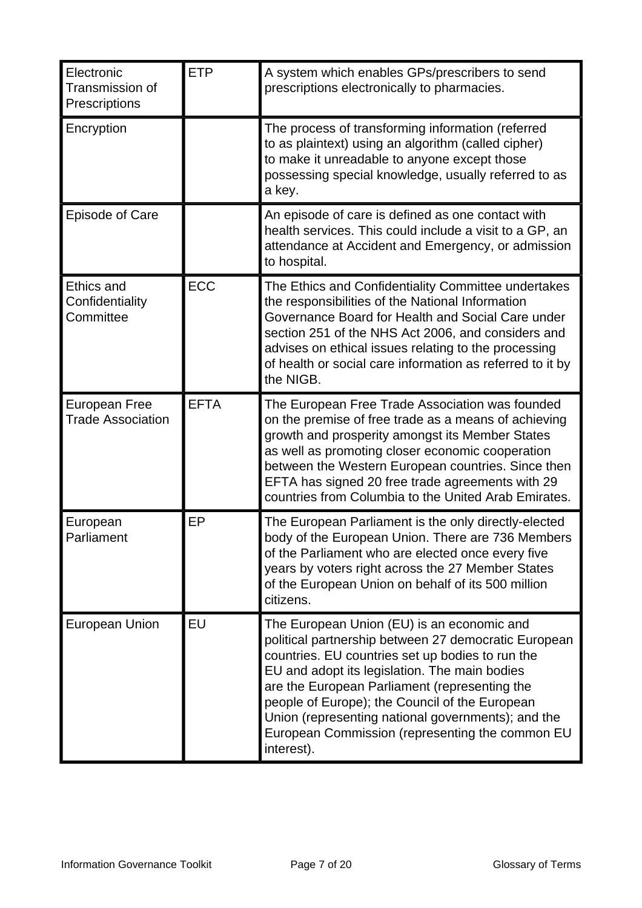| Electronic<br>Transmission of<br>Prescriptions    | <b>ETP</b>  | A system which enables GPs/prescribers to send<br>prescriptions electronically to pharmacies.                                                                                                                                                                                                                                                                                                                                     |
|---------------------------------------------------|-------------|-----------------------------------------------------------------------------------------------------------------------------------------------------------------------------------------------------------------------------------------------------------------------------------------------------------------------------------------------------------------------------------------------------------------------------------|
| Encryption                                        |             | The process of transforming information (referred<br>to as plaintext) using an algorithm (called cipher)<br>to make it unreadable to anyone except those<br>possessing special knowledge, usually referred to as<br>a key.                                                                                                                                                                                                        |
| <b>Episode of Care</b>                            |             | An episode of care is defined as one contact with<br>health services. This could include a visit to a GP, an<br>attendance at Accident and Emergency, or admission<br>to hospital.                                                                                                                                                                                                                                                |
| <b>Ethics and</b><br>Confidentiality<br>Committee | <b>ECC</b>  | The Ethics and Confidentiality Committee undertakes<br>the responsibilities of the National Information<br>Governance Board for Health and Social Care under<br>section 251 of the NHS Act 2006, and considers and<br>advises on ethical issues relating to the processing<br>of health or social care information as referred to it by<br>the NIGB.                                                                              |
| <b>European Free</b><br><b>Trade Association</b>  | <b>EFTA</b> | The European Free Trade Association was founded<br>on the premise of free trade as a means of achieving<br>growth and prosperity amongst its Member States<br>as well as promoting closer economic cooperation<br>between the Western European countries. Since then<br>EFTA has signed 20 free trade agreements with 29<br>countries from Columbia to the United Arab Emirates.                                                  |
| European<br>Parliament                            | EP          | The European Parliament is the only directly-elected<br>body of the European Union. There are 736 Members<br>of the Parliament who are elected once every five<br>years by voters right across the 27 Member States<br>of the European Union on behalf of its 500 million<br>citizens.                                                                                                                                            |
| <b>European Union</b>                             | EU          | The European Union (EU) is an economic and<br>political partnership between 27 democratic European<br>countries. EU countries set up bodies to run the<br>EU and adopt its legislation. The main bodies<br>are the European Parliament (representing the<br>people of Europe); the Council of the European<br>Union (representing national governments); and the<br>European Commission (representing the common EU<br>interest). |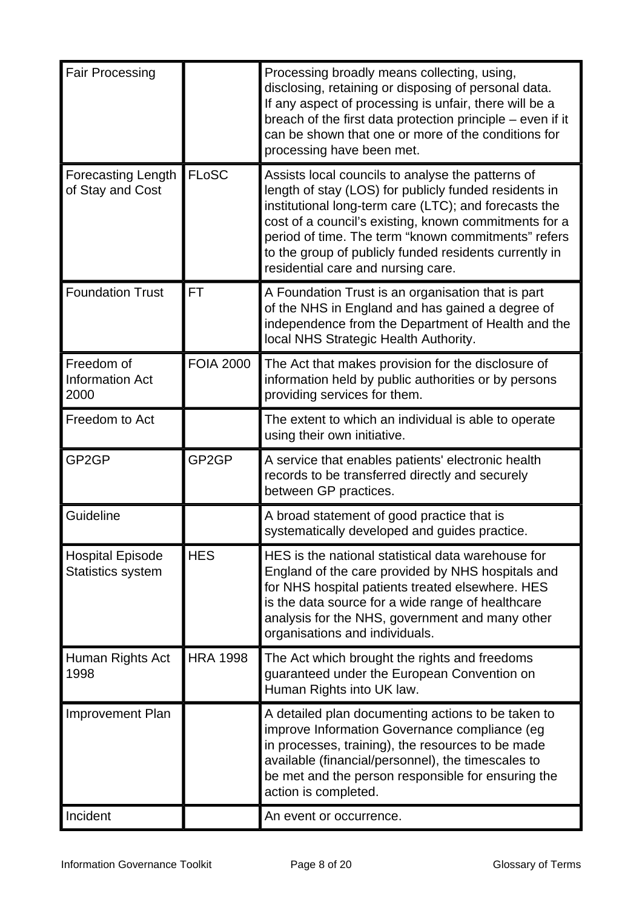| <b>Fair Processing</b>                              |                  | Processing broadly means collecting, using,<br>disclosing, retaining or disposing of personal data.<br>If any aspect of processing is unfair, there will be a<br>breach of the first data protection principle – even if it<br>can be shown that one or more of the conditions for<br>processing have been met.                                                                     |
|-----------------------------------------------------|------------------|-------------------------------------------------------------------------------------------------------------------------------------------------------------------------------------------------------------------------------------------------------------------------------------------------------------------------------------------------------------------------------------|
| <b>Forecasting Length</b><br>of Stay and Cost       | <b>FLoSC</b>     | Assists local councils to analyse the patterns of<br>length of stay (LOS) for publicly funded residents in<br>institutional long-term care (LTC); and forecasts the<br>cost of a council's existing, known commitments for a<br>period of time. The term "known commitments" refers<br>to the group of publicly funded residents currently in<br>residential care and nursing care. |
| <b>Foundation Trust</b>                             | FT               | A Foundation Trust is an organisation that is part<br>of the NHS in England and has gained a degree of<br>independence from the Department of Health and the<br>local NHS Strategic Health Authority.                                                                                                                                                                               |
| Freedom of<br><b>Information Act</b><br>2000        | <b>FOIA 2000</b> | The Act that makes provision for the disclosure of<br>information held by public authorities or by persons<br>providing services for them.                                                                                                                                                                                                                                          |
| Freedom to Act                                      |                  | The extent to which an individual is able to operate<br>using their own initiative.                                                                                                                                                                                                                                                                                                 |
| GP <sub>2</sub> GP                                  | GP2GP            | A service that enables patients' electronic health<br>records to be transferred directly and securely<br>between GP practices.                                                                                                                                                                                                                                                      |
| Guideline                                           |                  | A broad statement of good practice that is<br>systematically developed and guides practice.                                                                                                                                                                                                                                                                                         |
| <b>Hospital Episode</b><br><b>Statistics system</b> | <b>HES</b>       | HES is the national statistical data warehouse for<br>England of the care provided by NHS hospitals and<br>for NHS hospital patients treated elsewhere. HES<br>is the data source for a wide range of healthcare<br>analysis for the NHS, government and many other<br>organisations and individuals.                                                                               |
| Human Rights Act<br>1998                            | <b>HRA 1998</b>  | The Act which brought the rights and freedoms<br>guaranteed under the European Convention on<br>Human Rights into UK law.                                                                                                                                                                                                                                                           |
| <b>Improvement Plan</b>                             |                  | A detailed plan documenting actions to be taken to<br>improve Information Governance compliance (eg<br>in processes, training), the resources to be made<br>available (financial/personnel), the timescales to<br>be met and the person responsible for ensuring the<br>action is completed.                                                                                        |
| Incident                                            |                  | An event or occurrence.                                                                                                                                                                                                                                                                                                                                                             |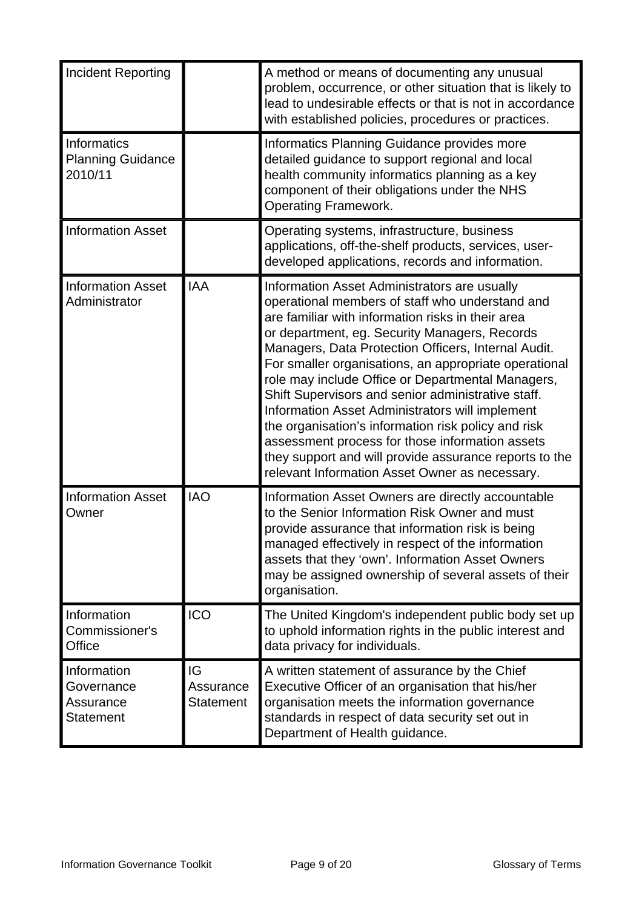| <b>Incident Reporting</b>                                  |                              | A method or means of documenting any unusual<br>problem, occurrence, or other situation that is likely to<br>lead to undesirable effects or that is not in accordance<br>with established policies, procedures or practices.                                                                                                                                                                                                                                                                                                                                                                                                                                                                              |
|------------------------------------------------------------|------------------------------|-----------------------------------------------------------------------------------------------------------------------------------------------------------------------------------------------------------------------------------------------------------------------------------------------------------------------------------------------------------------------------------------------------------------------------------------------------------------------------------------------------------------------------------------------------------------------------------------------------------------------------------------------------------------------------------------------------------|
| Informatics<br><b>Planning Guidance</b><br>2010/11         |                              | Informatics Planning Guidance provides more<br>detailed guidance to support regional and local<br>health community informatics planning as a key<br>component of their obligations under the NHS<br><b>Operating Framework.</b>                                                                                                                                                                                                                                                                                                                                                                                                                                                                           |
| <b>Information Asset</b>                                   |                              | Operating systems, infrastructure, business<br>applications, off-the-shelf products, services, user-<br>developed applications, records and information.                                                                                                                                                                                                                                                                                                                                                                                                                                                                                                                                                  |
| <b>Information Asset</b><br>Administrator                  | <b>IAA</b>                   | Information Asset Administrators are usually<br>operational members of staff who understand and<br>are familiar with information risks in their area<br>or department, eg. Security Managers, Records<br>Managers, Data Protection Officers, Internal Audit.<br>For smaller organisations, an appropriate operational<br>role may include Office or Departmental Managers,<br>Shift Supervisors and senior administrative staff.<br>Information Asset Administrators will implement<br>the organisation's information risk policy and risk<br>assessment process for those information assets<br>they support and will provide assurance reports to the<br>relevant Information Asset Owner as necessary. |
| <b>Information Asset</b><br>Owner                          | <b>IAO</b>                   | Information Asset Owners are directly accountable<br>to the Senior Information Risk Owner and must<br>provide assurance that information risk is being<br>managed effectively in respect of the information<br>assets that they 'own'. Information Asset Owners<br>may be assigned ownership of several assets of their<br>organisation.                                                                                                                                                                                                                                                                                                                                                                  |
| Information<br>Commissioner's<br>Office                    | <b>ICO</b>                   | The United Kingdom's independent public body set up<br>to uphold information rights in the public interest and<br>data privacy for individuals.                                                                                                                                                                                                                                                                                                                                                                                                                                                                                                                                                           |
| Information<br>Governance<br>Assurance<br><b>Statement</b> | IG<br>Assurance<br>Statement | A written statement of assurance by the Chief<br>Executive Officer of an organisation that his/her<br>organisation meets the information governance<br>standards in respect of data security set out in<br>Department of Health guidance.                                                                                                                                                                                                                                                                                                                                                                                                                                                                 |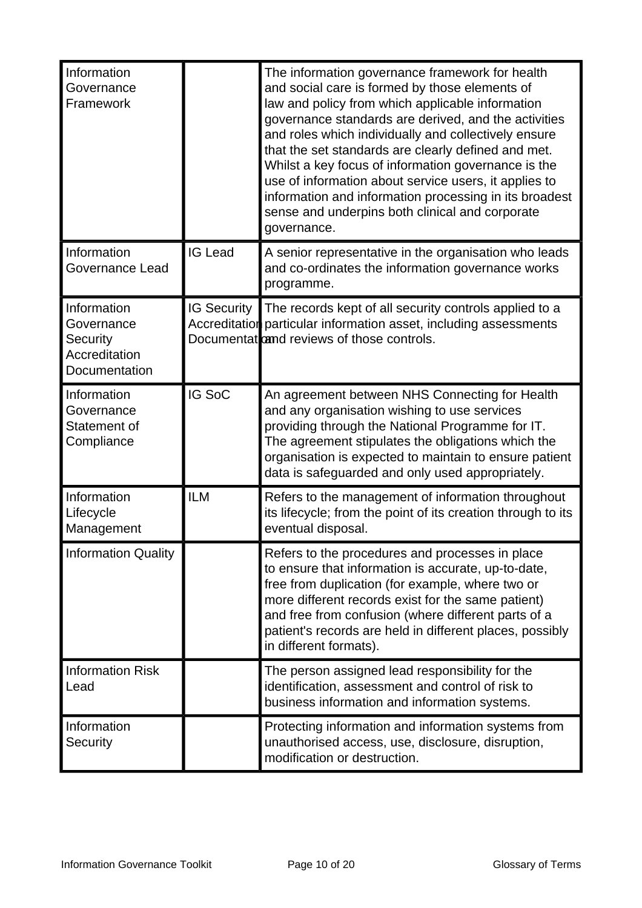| Information<br>Governance<br>Framework                                  |                    | The information governance framework for health<br>and social care is formed by those elements of<br>law and policy from which applicable information<br>governance standards are derived, and the activities<br>and roles which individually and collectively ensure<br>that the set standards are clearly defined and met.<br>Whilst a key focus of information governance is the<br>use of information about service users, it applies to<br>information and information processing in its broadest<br>sense and underpins both clinical and corporate<br>governance. |
|-------------------------------------------------------------------------|--------------------|--------------------------------------------------------------------------------------------------------------------------------------------------------------------------------------------------------------------------------------------------------------------------------------------------------------------------------------------------------------------------------------------------------------------------------------------------------------------------------------------------------------------------------------------------------------------------|
| Information<br><b>Governance Lead</b>                                   | <b>IG Lead</b>     | A senior representative in the organisation who leads<br>and co-ordinates the information governance works<br>programme.                                                                                                                                                                                                                                                                                                                                                                                                                                                 |
| Information<br>Governance<br>Security<br>Accreditation<br>Documentation | <b>IG Security</b> | The records kept of all security controls applied to a<br>Accreditation particular information asset, including assessments<br>Documentat and reviews of those controls.                                                                                                                                                                                                                                                                                                                                                                                                 |
| Information<br>Governance<br>Statement of<br>Compliance                 | IG SoC             | An agreement between NHS Connecting for Health<br>and any organisation wishing to use services<br>providing through the National Programme for IT.<br>The agreement stipulates the obligations which the<br>organisation is expected to maintain to ensure patient<br>data is safeguarded and only used appropriately.                                                                                                                                                                                                                                                   |
| Information<br>Lifecycle<br>Management                                  | <b>ILM</b>         | Refers to the management of information throughout<br>its lifecycle; from the point of its creation through to its<br>eventual disposal.                                                                                                                                                                                                                                                                                                                                                                                                                                 |
| <b>Information Quality</b>                                              |                    | Refers to the procedures and processes in place<br>to ensure that information is accurate, up-to-date,<br>free from duplication (for example, where two or<br>more different records exist for the same patient)<br>and free from confusion (where different parts of a<br>patient's records are held in different places, possibly<br>in different formats).                                                                                                                                                                                                            |
| <b>Information Risk</b><br>Lead                                         |                    | The person assigned lead responsibility for the<br>identification, assessment and control of risk to<br>business information and information systems.                                                                                                                                                                                                                                                                                                                                                                                                                    |
| Information<br>Security                                                 |                    | Protecting information and information systems from<br>unauthorised access, use, disclosure, disruption,<br>modification or destruction.                                                                                                                                                                                                                                                                                                                                                                                                                                 |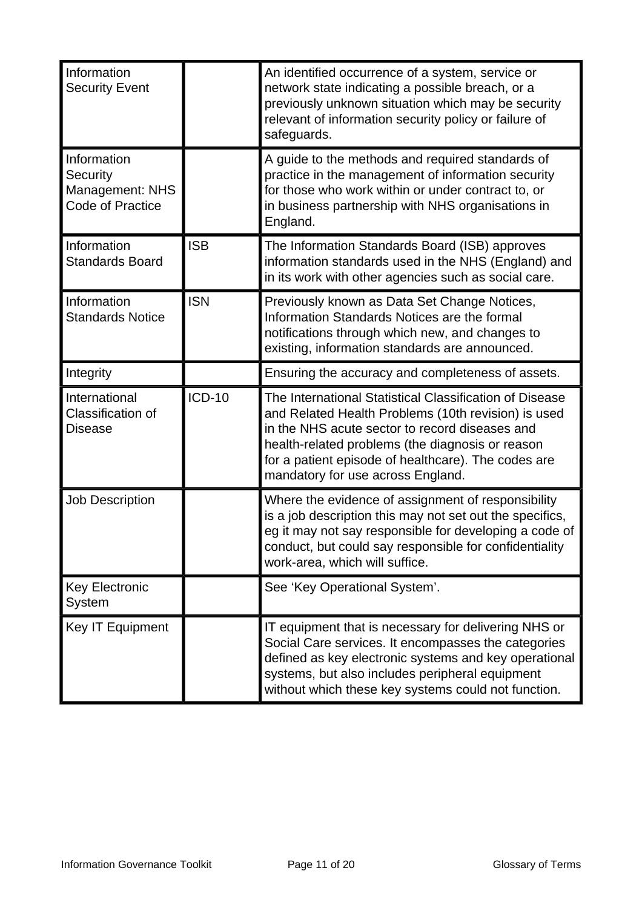| Information<br><b>Security Event</b>                                         |               | An identified occurrence of a system, service or<br>network state indicating a possible breach, or a<br>previously unknown situation which may be security<br>relevant of information security policy or failure of<br>safeguards.                                                                               |
|------------------------------------------------------------------------------|---------------|------------------------------------------------------------------------------------------------------------------------------------------------------------------------------------------------------------------------------------------------------------------------------------------------------------------|
| Information<br>Security<br><b>Management: NHS</b><br><b>Code of Practice</b> |               | A guide to the methods and required standards of<br>practice in the management of information security<br>for those who work within or under contract to, or<br>in business partnership with NHS organisations in<br>England.                                                                                    |
| Information<br><b>Standards Board</b>                                        | <b>ISB</b>    | The Information Standards Board (ISB) approves<br>information standards used in the NHS (England) and<br>in its work with other agencies such as social care.                                                                                                                                                    |
| Information<br><b>Standards Notice</b>                                       | <b>ISN</b>    | Previously known as Data Set Change Notices,<br>Information Standards Notices are the formal<br>notifications through which new, and changes to<br>existing, information standards are announced.                                                                                                                |
| Integrity                                                                    |               | Ensuring the accuracy and completeness of assets.                                                                                                                                                                                                                                                                |
| International<br>Classification of<br><b>Disease</b>                         | <b>ICD-10</b> | The International Statistical Classification of Disease<br>and Related Health Problems (10th revision) is used<br>in the NHS acute sector to record diseases and<br>health-related problems (the diagnosis or reason<br>for a patient episode of healthcare). The codes are<br>mandatory for use across England. |
| <b>Job Description</b>                                                       |               | Where the evidence of assignment of responsibility<br>is a job description this may not set out the specifics,<br>eg it may not say responsible for developing a code of<br>conduct, but could say responsible for confidentiality<br>work-area, which will suffice.                                             |
|                                                                              |               |                                                                                                                                                                                                                                                                                                                  |
| <b>Key Electronic</b><br><b>System</b>                                       |               | See 'Key Operational System'.                                                                                                                                                                                                                                                                                    |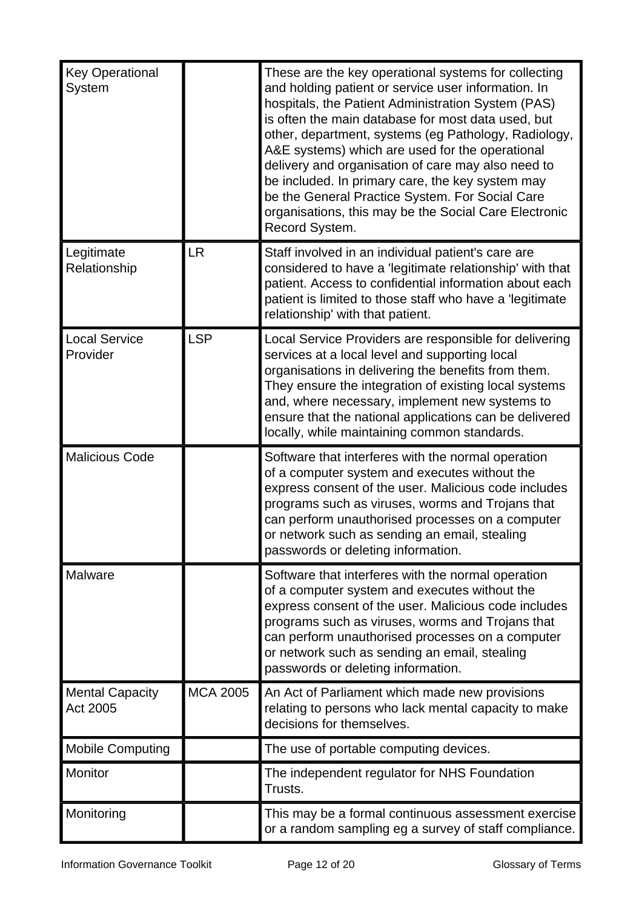| <b>Key Operational</b><br>System   |                 | These are the key operational systems for collecting<br>and holding patient or service user information. In<br>hospitals, the Patient Administration System (PAS)<br>is often the main database for most data used, but<br>other, department, systems (eg Pathology, Radiology,<br>A&E systems) which are used for the operational<br>delivery and organisation of care may also need to<br>be included. In primary care, the key system may<br>be the General Practice System. For Social Care<br>organisations, this may be the Social Care Electronic<br>Record System. |
|------------------------------------|-----------------|----------------------------------------------------------------------------------------------------------------------------------------------------------------------------------------------------------------------------------------------------------------------------------------------------------------------------------------------------------------------------------------------------------------------------------------------------------------------------------------------------------------------------------------------------------------------------|
| Legitimate<br>Relationship         | <b>LR</b>       | Staff involved in an individual patient's care are<br>considered to have a 'legitimate relationship' with that<br>patient. Access to confidential information about each<br>patient is limited to those staff who have a legitimate<br>relationship' with that patient.                                                                                                                                                                                                                                                                                                    |
| <b>Local Service</b><br>Provider   | <b>LSP</b>      | Local Service Providers are responsible for delivering<br>services at a local level and supporting local<br>organisations in delivering the benefits from them.<br>They ensure the integration of existing local systems<br>and, where necessary, implement new systems to<br>ensure that the national applications can be delivered<br>locally, while maintaining common standards.                                                                                                                                                                                       |
| <b>Malicious Code</b>              |                 | Software that interferes with the normal operation<br>of a computer system and executes without the<br>express consent of the user. Malicious code includes<br>programs such as viruses, worms and Trojans that<br>can perform unauthorised processes on a computer<br>or network such as sending an email, stealing<br>passwords or deleting information.                                                                                                                                                                                                                 |
| <b>Malware</b>                     |                 | Software that interferes with the normal operation<br>of a computer system and executes without the<br>express consent of the user. Malicious code includes<br>programs such as viruses, worms and Trojans that<br>can perform unauthorised processes on a computer<br>or network such as sending an email, stealing<br>passwords or deleting information.                                                                                                                                                                                                                 |
| <b>Mental Capacity</b><br>Act 2005 | <b>MCA 2005</b> | An Act of Parliament which made new provisions<br>relating to persons who lack mental capacity to make<br>decisions for themselves.                                                                                                                                                                                                                                                                                                                                                                                                                                        |
| <b>Mobile Computing</b>            |                 | The use of portable computing devices.                                                                                                                                                                                                                                                                                                                                                                                                                                                                                                                                     |
| Monitor                            |                 | The independent regulator for NHS Foundation<br>Trusts.                                                                                                                                                                                                                                                                                                                                                                                                                                                                                                                    |
| Monitoring                         |                 | This may be a formal continuous assessment exercise<br>or a random sampling eg a survey of staff compliance.                                                                                                                                                                                                                                                                                                                                                                                                                                                               |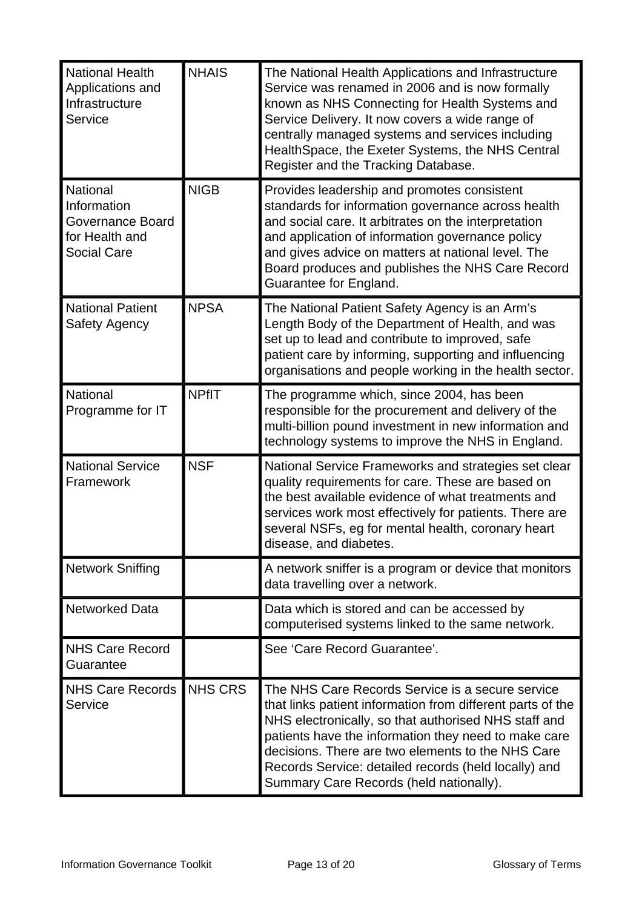| <b>National Health</b><br>Applications and<br>Infrastructure<br>Service             | <b>NHAIS</b>   | The National Health Applications and Infrastructure<br>Service was renamed in 2006 and is now formally<br>known as NHS Connecting for Health Systems and<br>Service Delivery. It now covers a wide range of<br>centrally managed systems and services including<br>Health Space, the Exeter Systems, the NHS Central<br>Register and the Tracking Database.                            |
|-------------------------------------------------------------------------------------|----------------|----------------------------------------------------------------------------------------------------------------------------------------------------------------------------------------------------------------------------------------------------------------------------------------------------------------------------------------------------------------------------------------|
| National<br>Information<br>Governance Board<br>for Health and<br><b>Social Care</b> | <b>NIGB</b>    | Provides leadership and promotes consistent<br>standards for information governance across health<br>and social care. It arbitrates on the interpretation<br>and application of information governance policy<br>and gives advice on matters at national level. The<br>Board produces and publishes the NHS Care Record<br>Guarantee for England.                                      |
| <b>National Patient</b><br><b>Safety Agency</b>                                     | <b>NPSA</b>    | The National Patient Safety Agency is an Arm's<br>Length Body of the Department of Health, and was<br>set up to lead and contribute to improved, safe<br>patient care by informing, supporting and influencing<br>organisations and people working in the health sector.                                                                                                               |
| <b>National</b><br>Programme for IT                                                 | <b>NPfIT</b>   | The programme which, since 2004, has been<br>responsible for the procurement and delivery of the<br>multi-billion pound investment in new information and<br>technology systems to improve the NHS in England.                                                                                                                                                                         |
| <b>National Service</b><br>Framework                                                | <b>NSF</b>     | National Service Frameworks and strategies set clear<br>quality requirements for care. These are based on<br>the best available evidence of what treatments and<br>services work most effectively for patients. There are<br>several NSFs, eg for mental health, coronary heart<br>disease, and diabetes.                                                                              |
| <b>Network Sniffing</b>                                                             |                | A network sniffer is a program or device that monitors<br>data travelling over a network.                                                                                                                                                                                                                                                                                              |
| <b>Networked Data</b>                                                               |                | Data which is stored and can be accessed by<br>computerised systems linked to the same network.                                                                                                                                                                                                                                                                                        |
| <b>NHS Care Record</b><br>Guarantee                                                 |                | See 'Care Record Guarantee'.                                                                                                                                                                                                                                                                                                                                                           |
| <b>NHS Care Records</b><br>Service                                                  | <b>NHS CRS</b> | The NHS Care Records Service is a secure service<br>that links patient information from different parts of the<br>NHS electronically, so that authorised NHS staff and<br>patients have the information they need to make care<br>decisions. There are two elements to the NHS Care<br>Records Service: detailed records (held locally) and<br>Summary Care Records (held nationally). |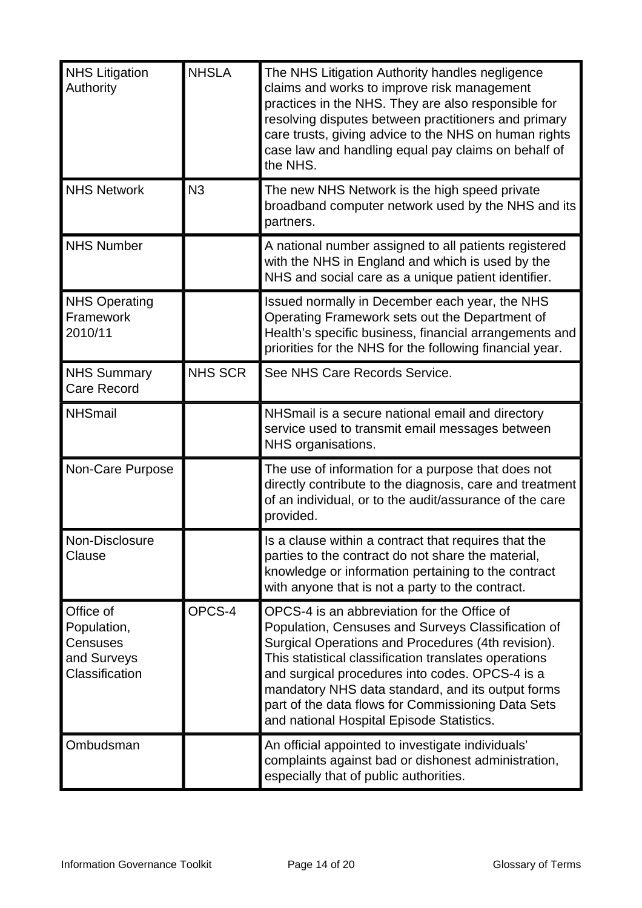| <b>NHS Litigation</b><br>Authority                                    | <b>NHSLA</b>   | The NHS Litigation Authority handles negligence<br>claims and works to improve risk management<br>practices in the NHS. They are also responsible for<br>resolving disputes between practitioners and primary<br>care trusts, giving advice to the NHS on human rights<br>case law and handling equal pay claims on behalf of<br>the NHS.                                                                                   |
|-----------------------------------------------------------------------|----------------|-----------------------------------------------------------------------------------------------------------------------------------------------------------------------------------------------------------------------------------------------------------------------------------------------------------------------------------------------------------------------------------------------------------------------------|
| <b>NHS Network</b>                                                    | N <sub>3</sub> | The new NHS Network is the high speed private<br>broadband computer network used by the NHS and its<br>partners.                                                                                                                                                                                                                                                                                                            |
| <b>NHS Number</b>                                                     |                | A national number assigned to all patients registered<br>with the NHS in England and which is used by the<br>NHS and social care as a unique patient identifier.                                                                                                                                                                                                                                                            |
| <b>NHS Operating</b><br>Framework<br>2010/11                          |                | Issued normally in December each year, the NHS<br>Operating Framework sets out the Department of<br>Health's specific business, financial arrangements and<br>priorities for the NHS for the following financial year.                                                                                                                                                                                                      |
| <b>NHS Summary</b><br><b>Care Record</b>                              | <b>NHS SCR</b> | See NHS Care Records Service.                                                                                                                                                                                                                                                                                                                                                                                               |
| <b>NHSmail</b>                                                        |                | NHSmail is a secure national email and directory<br>service used to transmit email messages between<br>NHS organisations.                                                                                                                                                                                                                                                                                                   |
| Non-Care Purpose                                                      |                | The use of information for a purpose that does not<br>directly contribute to the diagnosis, care and treatment<br>of an individual, or to the audit/assurance of the care<br>provided.                                                                                                                                                                                                                                      |
| Non-Disclosure<br>Clause                                              |                | Is a clause within a contract that requires that the<br>parties to the contract do not share the material,<br>knowledge or information pertaining to the contract<br>with anyone that is not a party to the contract.                                                                                                                                                                                                       |
| Office of<br>Population,<br>Censuses<br>and Surveys<br>Classification | OPCS-4         | OPCS-4 is an abbreviation for the Office of<br>Population, Censuses and Surveys Classification of<br>Surgical Operations and Procedures (4th revision).<br>This statistical classification translates operations<br>and surgical procedures into codes. OPCS-4 is a<br>mandatory NHS data standard, and its output forms<br>part of the data flows for Commissioning Data Sets<br>and national Hospital Episode Statistics. |
| Ombudsman                                                             |                | An official appointed to investigate individuals'<br>complaints against bad or dishonest administration,<br>especially that of public authorities.                                                                                                                                                                                                                                                                          |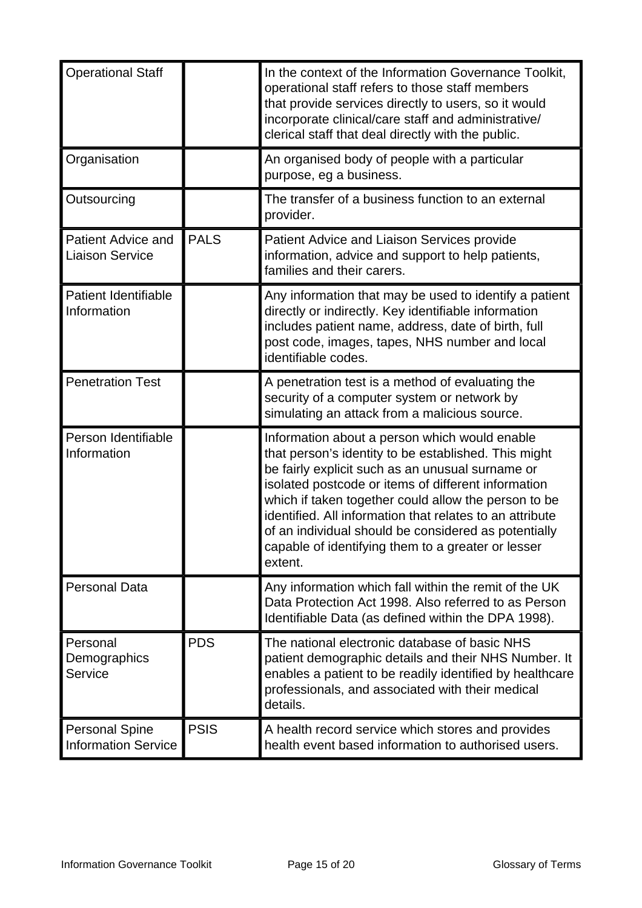| <b>Operational Staff</b>                            |             | In the context of the Information Governance Toolkit,<br>operational staff refers to those staff members<br>that provide services directly to users, so it would<br>incorporate clinical/care staff and administrative/<br>clerical staff that deal directly with the public.                                                                                                                                                                                 |
|-----------------------------------------------------|-------------|---------------------------------------------------------------------------------------------------------------------------------------------------------------------------------------------------------------------------------------------------------------------------------------------------------------------------------------------------------------------------------------------------------------------------------------------------------------|
| Organisation                                        |             | An organised body of people with a particular<br>purpose, eg a business.                                                                                                                                                                                                                                                                                                                                                                                      |
| Outsourcing                                         |             | The transfer of a business function to an external<br>provider.                                                                                                                                                                                                                                                                                                                                                                                               |
| <b>Patient Advice and</b><br><b>Liaison Service</b> | <b>PALS</b> | Patient Advice and Liaison Services provide<br>information, advice and support to help patients,<br>families and their carers.                                                                                                                                                                                                                                                                                                                                |
| <b>Patient Identifiable</b><br>Information          |             | Any information that may be used to identify a patient<br>directly or indirectly. Key identifiable information<br>includes patient name, address, date of birth, full<br>post code, images, tapes, NHS number and local<br>identifiable codes.                                                                                                                                                                                                                |
| <b>Penetration Test</b>                             |             | A penetration test is a method of evaluating the<br>security of a computer system or network by<br>simulating an attack from a malicious source.                                                                                                                                                                                                                                                                                                              |
| Person Identifiable<br>Information                  |             | Information about a person which would enable<br>that person's identity to be established. This might<br>be fairly explicit such as an unusual surname or<br>isolated postcode or items of different information<br>which if taken together could allow the person to be<br>identified. All information that relates to an attribute<br>of an individual should be considered as potentially<br>capable of identifying them to a greater or lesser<br>extent. |
| <b>Personal Data</b>                                |             | Any information which fall within the remit of the UK<br>Data Protection Act 1998. Also referred to as Person<br>Identifiable Data (as defined within the DPA 1998).                                                                                                                                                                                                                                                                                          |
| Personal<br>Demographics<br>Service                 | <b>PDS</b>  | The national electronic database of basic NHS<br>patient demographic details and their NHS Number. It<br>enables a patient to be readily identified by healthcare<br>professionals, and associated with their medical<br>details.                                                                                                                                                                                                                             |
| <b>Personal Spine</b><br><b>Information Service</b> | <b>PSIS</b> | A health record service which stores and provides<br>health event based information to authorised users.                                                                                                                                                                                                                                                                                                                                                      |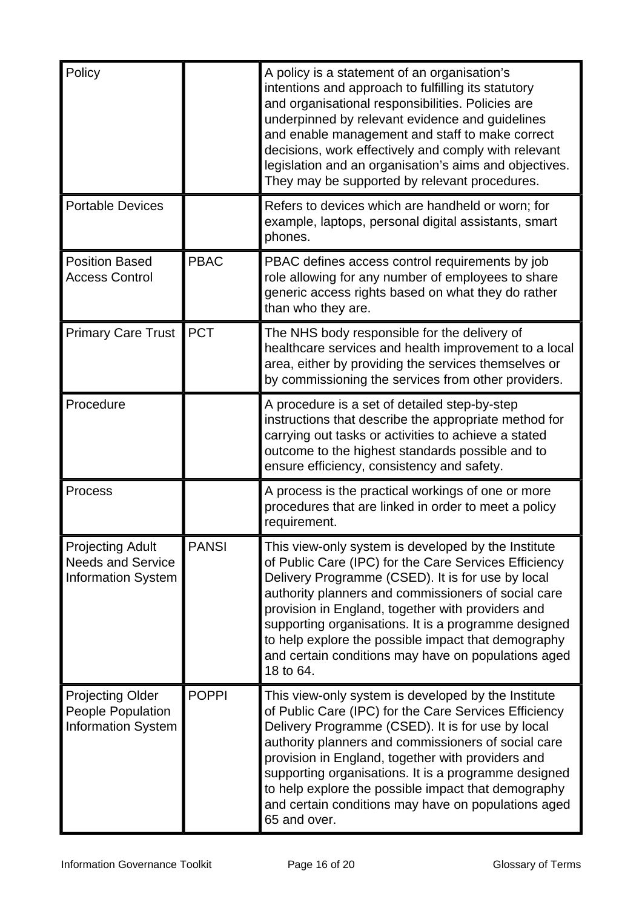| Policy                                                                           |              | A policy is a statement of an organisation's<br>intentions and approach to fulfilling its statutory<br>and organisational responsibilities. Policies are<br>underpinned by relevant evidence and guidelines<br>and enable management and staff to make correct<br>decisions, work effectively and comply with relevant<br>legislation and an organisation's aims and objectives.<br>They may be supported by relevant procedures.                                   |
|----------------------------------------------------------------------------------|--------------|---------------------------------------------------------------------------------------------------------------------------------------------------------------------------------------------------------------------------------------------------------------------------------------------------------------------------------------------------------------------------------------------------------------------------------------------------------------------|
| <b>Portable Devices</b>                                                          |              | Refers to devices which are handheld or worn; for<br>example, laptops, personal digital assistants, smart<br>phones.                                                                                                                                                                                                                                                                                                                                                |
| <b>Position Based</b><br><b>Access Control</b>                                   | <b>PBAC</b>  | PBAC defines access control requirements by job<br>role allowing for any number of employees to share<br>generic access rights based on what they do rather<br>than who they are.                                                                                                                                                                                                                                                                                   |
| <b>Primary Care Trust</b>                                                        | <b>PCT</b>   | The NHS body responsible for the delivery of<br>healthcare services and health improvement to a local<br>area, either by providing the services themselves or<br>by commissioning the services from other providers.                                                                                                                                                                                                                                                |
| Procedure                                                                        |              | A procedure is a set of detailed step-by-step<br>instructions that describe the appropriate method for<br>carrying out tasks or activities to achieve a stated<br>outcome to the highest standards possible and to<br>ensure efficiency, consistency and safety.                                                                                                                                                                                                    |
| Process                                                                          |              | A process is the practical workings of one or more<br>procedures that are linked in order to meet a policy<br>requirement.                                                                                                                                                                                                                                                                                                                                          |
| <b>Projecting Adult</b><br><b>Needs and Service</b><br><b>Information System</b> | <b>PANSI</b> | This view-only system is developed by the Institute<br>of Public Care (IPC) for the Care Services Efficiency<br>Delivery Programme (CSED). It is for use by local<br>authority planners and commissioners of social care<br>provision in England, together with providers and<br>supporting organisations. It is a programme designed<br>to help explore the possible impact that demography<br>and certain conditions may have on populations aged<br>18 to 64.    |
| <b>Projecting Older</b><br>People Population<br><b>Information System</b>        | <b>POPPI</b> | This view-only system is developed by the Institute<br>of Public Care (IPC) for the Care Services Efficiency<br>Delivery Programme (CSED). It is for use by local<br>authority planners and commissioners of social care<br>provision in England, together with providers and<br>supporting organisations. It is a programme designed<br>to help explore the possible impact that demography<br>and certain conditions may have on populations aged<br>65 and over. |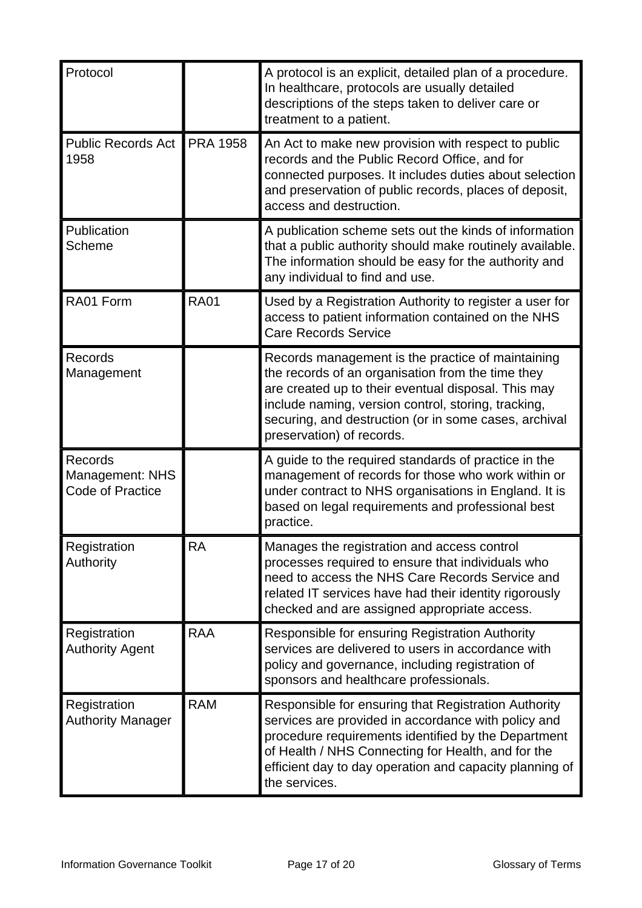| Protocol                                                     |                 | A protocol is an explicit, detailed plan of a procedure.<br>In healthcare, protocols are usually detailed<br>descriptions of the steps taken to deliver care or<br>treatment to a patient.                                                                                                                 |
|--------------------------------------------------------------|-----------------|------------------------------------------------------------------------------------------------------------------------------------------------------------------------------------------------------------------------------------------------------------------------------------------------------------|
| <b>Public Records Act</b><br>1958                            | <b>PRA 1958</b> | An Act to make new provision with respect to public<br>records and the Public Record Office, and for<br>connected purposes. It includes duties about selection<br>and preservation of public records, places of deposit,<br>access and destruction.                                                        |
| Publication<br>Scheme                                        |                 | A publication scheme sets out the kinds of information<br>that a public authority should make routinely available.<br>The information should be easy for the authority and<br>any individual to find and use.                                                                                              |
| RA01 Form                                                    | <b>RA01</b>     | Used by a Registration Authority to register a user for<br>access to patient information contained on the NHS<br><b>Care Records Service</b>                                                                                                                                                               |
| Records<br>Management                                        |                 | Records management is the practice of maintaining<br>the records of an organisation from the time they<br>are created up to their eventual disposal. This may<br>include naming, version control, storing, tracking,<br>securing, and destruction (or in some cases, archival<br>preservation) of records. |
| <b>Records</b><br><b>Management: NHS</b><br>Code of Practice |                 | A guide to the required standards of practice in the<br>management of records for those who work within or<br>under contract to NHS organisations in England. It is<br>based on legal requirements and professional best<br>practice.                                                                      |
| Registration<br>Authority                                    | RA              | Manages the registration and access control<br>processes required to ensure that individuals who<br>need to access the NHS Care Records Service and<br>related IT services have had their identity rigorously<br>checked and are assigned appropriate access.                                              |
| Registration<br><b>Authority Agent</b>                       | <b>RAA</b>      | Responsible for ensuring Registration Authority<br>services are delivered to users in accordance with<br>policy and governance, including registration of<br>sponsors and healthcare professionals.                                                                                                        |
| Registration<br><b>Authority Manager</b>                     | <b>RAM</b>      | Responsible for ensuring that Registration Authority<br>services are provided in accordance with policy and<br>procedure requirements identified by the Department<br>of Health / NHS Connecting for Health, and for the<br>efficient day to day operation and capacity planning of<br>the services.       |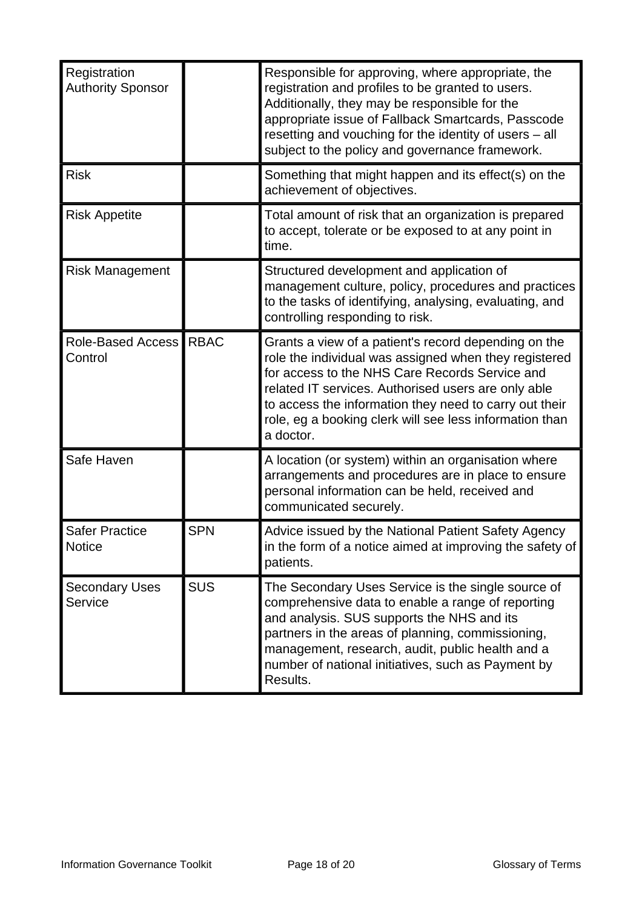| Registration<br><b>Authority Sponsor</b> |             | Responsible for approving, where appropriate, the<br>registration and profiles to be granted to users.<br>Additionally, they may be responsible for the<br>appropriate issue of Fallback Smartcards, Passcode<br>resetting and vouching for the identity of users - all<br>subject to the policy and governance framework.                               |
|------------------------------------------|-------------|----------------------------------------------------------------------------------------------------------------------------------------------------------------------------------------------------------------------------------------------------------------------------------------------------------------------------------------------------------|
| <b>Risk</b>                              |             | Something that might happen and its effect(s) on the<br>achievement of objectives.                                                                                                                                                                                                                                                                       |
| <b>Risk Appetite</b>                     |             | Total amount of risk that an organization is prepared<br>to accept, tolerate or be exposed to at any point in<br>time.                                                                                                                                                                                                                                   |
| <b>Risk Management</b>                   |             | Structured development and application of<br>management culture, policy, procedures and practices<br>to the tasks of identifying, analysing, evaluating, and<br>controlling responding to risk.                                                                                                                                                          |
| Role-Based Access<br>Control             | <b>RBAC</b> | Grants a view of a patient's record depending on the<br>role the individual was assigned when they registered<br>for access to the NHS Care Records Service and<br>related IT services. Authorised users are only able<br>to access the information they need to carry out their<br>role, eg a booking clerk will see less information than<br>a doctor. |
| Safe Haven                               |             | A location (or system) within an organisation where<br>arrangements and procedures are in place to ensure<br>personal information can be held, received and<br>communicated securely.                                                                                                                                                                    |
| <b>Safer Practice</b><br><b>Notice</b>   | <b>SPN</b>  | Advice issued by the National Patient Safety Agency<br>in the form of a notice aimed at improving the safety of<br>patients.                                                                                                                                                                                                                             |
| <b>Secondary Uses</b><br>Service         | <b>SUS</b>  | The Secondary Uses Service is the single source of<br>comprehensive data to enable a range of reporting<br>and analysis. SUS supports the NHS and its<br>partners in the areas of planning, commissioning,<br>management, research, audit, public health and a<br>number of national initiatives, such as Payment by<br>Results.                         |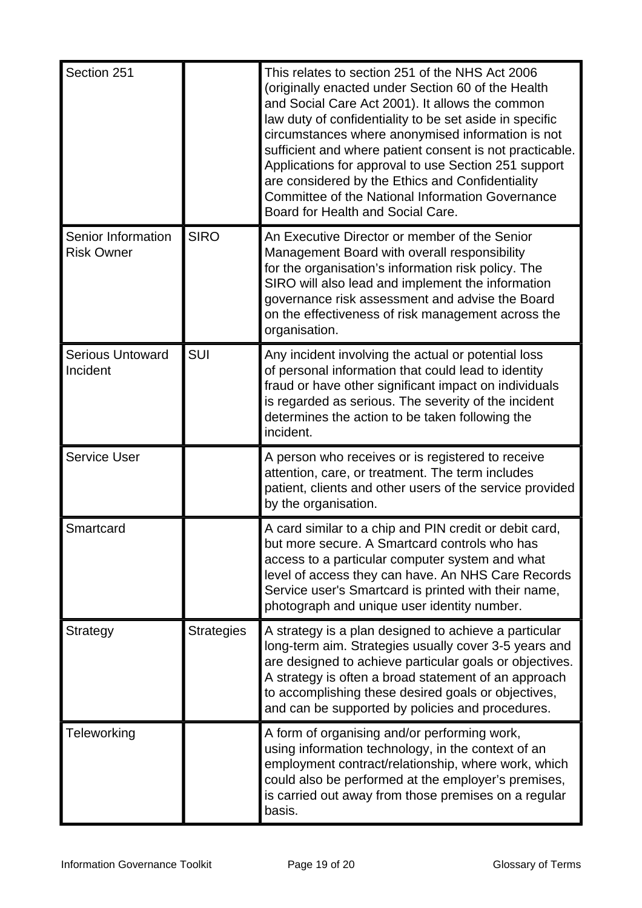| Section 251                             |                   | This relates to section 251 of the NHS Act 2006<br>(originally enacted under Section 60 of the Health<br>and Social Care Act 2001). It allows the common<br>law duty of confidentiality to be set aside in specific<br>circumstances where anonymised information is not<br>sufficient and where patient consent is not practicable.<br>Applications for approval to use Section 251 support<br>are considered by the Ethics and Confidentiality<br><b>Committee of the National Information Governance</b><br>Board for Health and Social Care. |
|-----------------------------------------|-------------------|--------------------------------------------------------------------------------------------------------------------------------------------------------------------------------------------------------------------------------------------------------------------------------------------------------------------------------------------------------------------------------------------------------------------------------------------------------------------------------------------------------------------------------------------------|
| Senior Information<br><b>Risk Owner</b> | <b>SIRO</b>       | An Executive Director or member of the Senior<br>Management Board with overall responsibility<br>for the organisation's information risk policy. The<br>SIRO will also lead and implement the information<br>governance risk assessment and advise the Board<br>on the effectiveness of risk management across the<br>organisation.                                                                                                                                                                                                              |
| <b>Serious Untoward</b><br>Incident     | <b>SUI</b>        | Any incident involving the actual or potential loss<br>of personal information that could lead to identity<br>fraud or have other significant impact on individuals<br>is regarded as serious. The severity of the incident<br>determines the action to be taken following the<br>incident.                                                                                                                                                                                                                                                      |
| <b>Service User</b>                     |                   | A person who receives or is registered to receive<br>attention, care, or treatment. The term includes<br>patient, clients and other users of the service provided<br>by the organisation.                                                                                                                                                                                                                                                                                                                                                        |
| Smartcard                               |                   | A card similar to a chip and PIN credit or debit card,<br>but more secure. A Smartcard controls who has<br>access to a particular computer system and what<br>level of access they can have. An NHS Care Records<br>Service user's Smartcard is printed with their name,<br>photograph and unique user identity number.                                                                                                                                                                                                                          |
| <b>Strategy</b>                         | <b>Strategies</b> | A strategy is a plan designed to achieve a particular<br>long-term aim. Strategies usually cover 3-5 years and<br>are designed to achieve particular goals or objectives.<br>A strategy is often a broad statement of an approach<br>to accomplishing these desired goals or objectives,<br>and can be supported by policies and procedures.                                                                                                                                                                                                     |
| Teleworking                             |                   | A form of organising and/or performing work,<br>using information technology, in the context of an<br>employment contract/relationship, where work, which<br>could also be performed at the employer's premises,<br>is carried out away from those premises on a regular<br>basis.                                                                                                                                                                                                                                                               |